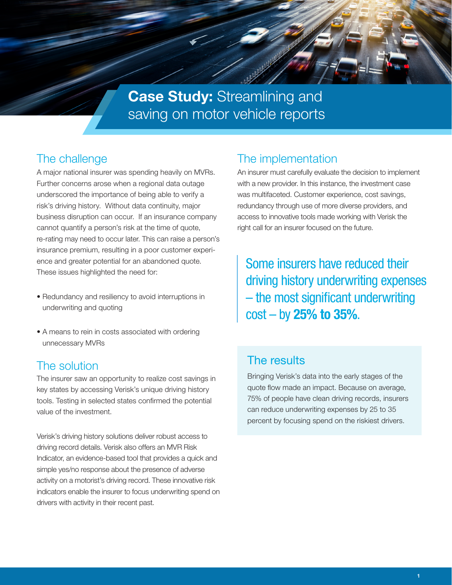

**Case Study: Streamlining and** saving on motor vehicle reports

# The challenge

A major national insurer was spending heavily on MVRs. Further concerns arose when a regional data outage underscored the importance of being able to verify a risk's driving history. Without data continuity, major business disruption can occur. If an insurance company cannot quantify a person's risk at the time of quote, re-rating may need to occur later. This can raise a person's insurance premium, resulting in a poor customer experience and greater potential for an abandoned quote. These issues highlighted the need for:

- Redundancy and resiliency to avoid interruptions in underwriting and quoting
- A means to rein in costs associated with ordering unnecessary MVRs

## The solution

The insurer saw an opportunity to realize cost savings in key states by accessing Verisk's unique driving history tools. Testing in selected states confirmed the potential value of the investment.

Verisk's driving history solutions deliver robust access to driving record details. Verisk also offers an MVR Risk Indicator, an evidence-based tool that provides a quick and simple yes/no response about the presence of adverse activity on a motorist's driving record. These innovative risk indicators enable the insurer to focus underwriting spend on drivers with activity in their recent past.

## The implementation

An insurer must carefully evaluate the decision to implement with a new provider. In this instance, the investment case was multifaceted. Customer experience, cost savings, redundancy through use of more diverse providers, and access to innovative tools made working with Verisk the right call for an insurer focused on the future.

Some insurers have reduced their driving history underwriting expenses – the most significant underwriting  $cost - by 25% to 35%.$ 

#### The results

Bringing Verisk's data into the early stages of the quote flow made an impact. Because on average, 75% of people have clean driving records, insurers can reduce underwriting expenses by 25 to 35 percent by focusing spend on the riskiest drivers.